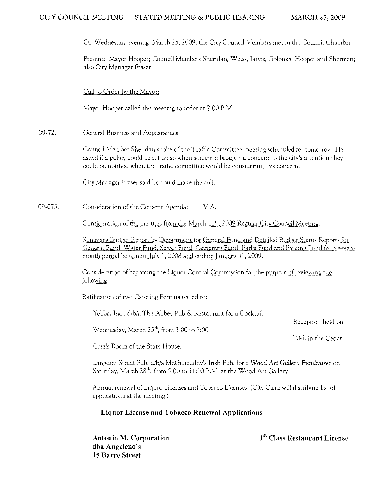On Wednesday evening, March 25,2009, the City Council Members met in the Council Chamber.

Present: Mayor Hooper; Council Members Sheridan, Weiss, Jarvis, Golonka, Hooper and Sherman; also City Manager Fraser.

Call to Order by the Mayor:

Mayor Hooper called the meeting to order at 7:00 P.M.

09-72. General Business and Appearances

> Council Member Sheridan spoke of the Traffic Committee meeting scheduled for tomorrow. He asked if a policy could be set up so when someone brought a concern to the city's attention they could be notified when the traffic committee would be considering this conccrn.

City Manager Fraser said he could make the call.

09-073. Consideration of the Consent Agenda: V.A.

Consideration of the minutes from the March  $11<sup>th</sup>$ , 2009 Regular City Council Meeting.

Summary Budget Report by Department for General Fund and Detailed Budget Status Reports for General Fund, Water Fund, Sewer Fund, Cemetery Fund, Parks Fund and Parking Fund for a sevenmonth period beginning July 1, 2008 and ending January 31, 2009.

Consideration of becoming the Liquor Control Commission for the purpose of reviewing the following:

Ratification of two Catering Permits issued to:

| Yebba, Inc., d/b/a The Abbey Pub & Restaurant for a Cocktail |                   |
|--------------------------------------------------------------|-------------------|
|                                                              | Docention bold of |

Wednesday, March 25<sup>th</sup>, from 3:00 to 7:00

Reception held on

P.M. in the Cedar

Creek Room of the State House.

Langdon Street Pub, d/b/a McGillicuddy's Irish Pub, for a *Wood Art Gallery Fundraiser* on Saturday, March 28<sup>th</sup>, from 5:00 to 11:00 P.M. at the Wood Art Gallery.

Annual renewal of Liquor Licenses and Tobacco Licenses. (City Clerk will distribute list of applications at the meeting.)

# **Liquor License and Tobacco Renewal Applications**

**Antonio M. Corporation dba Angeleno's 15 Barre Street** 

1<sup>st</sup> Class Restaurant License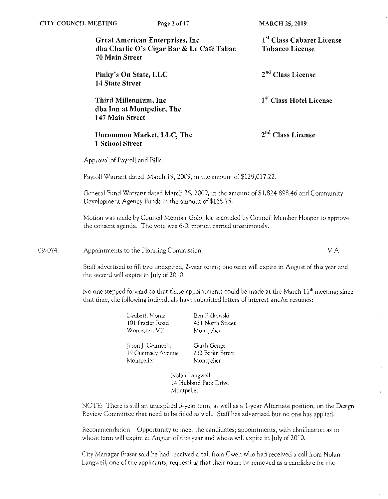V.A.

| Great American Enterprises, Inc.<br>dha Charlie O's Cigar Bar & Le Café Tabac<br>70 Main Street | 1 <sup>st</sup> Class Cabaret License<br><b>Tobacco License</b> |
|-------------------------------------------------------------------------------------------------|-----------------------------------------------------------------|
| Pinky's On State, LLC<br><b>14 State Street</b>                                                 | 2 <sup>nd</sup> Class License                                   |
| Third Millennium, Inc.<br>dba Inn at Montpelier, The<br>147 Main Street                         | 1 <sup>st</sup> Class Hotel License                             |
| Uncommon Market, LLC, The                                                                       | <b>Class License</b>                                            |

## Approval of Payroll and Bills:

**1 School Street** 

Payroll Warrant dated March 19, 2009, in the amount of \$129,017.22.

General Fund Warrant dated March 25, 2009, in the amount of \$1,824,898.46 and Community Development Agency Funds in the amount of \$168.75.

Motion was made by Council Member Golonka, seconded by Council Member Hooper to approve **the consent agenda, The vote was** 6~O, **motion carried unanimously.** 

09·074. **Appointments to the Pianning Commission.** 

> Staff advertised to fill two unexpired, 2·year terms; one term will expire in August of this year and the second will expire in July of 2010.

No one stepped forward so that these appointments could be made at the March  $11<sup>th</sup>$  meeting; since that time, the following individuals have submitted letters of interest and/or resumes:

| Lizabeth Moniz     | Ben Palkowski           |
|--------------------|-------------------------|
| 101 Frazier Road   | 431 North Street        |
| Worcester, VT      | Montpelier              |
| Jason J. Czarnezki | Garth Genge             |
| 10.0               | $222.0$ by $10.0$ $\mu$ |

**19 Guernsey Avenue Montpelier** 

232 Berlin Street **Montpelier** 

**Nolan Langweil**  14 Hubbard Park Drive Montpelier

NOTE: There is still an unexpired 3-year term, as well as a 1-year Alternate position, on the Design Review Committee that need to be filled as well. Staff has advertised but no one has applied.

Recommendation: Opportunity to meet the candidates; appointments, with clarification as to whose term will expire in August of this year and whose will expire in July of 2010.

City Manager Fraser said he had received a call from Gwen who had received a call from Nolan Langwcil, one of the applicants, requesting that their name be removed as a candidate for the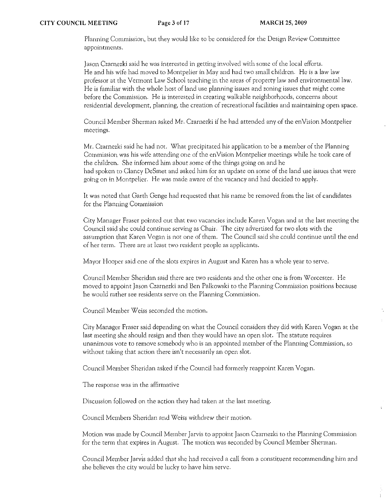Planning Commission, but they would like to be considered for the Design Review Committee **appointments.** 

Jason Czarnezki said he was interested in getting involved with some of the local efforts. He and his wife had moved to Montpelier in May and had two small children. He is a law law professor at the Vermont Law School teaching in the areas of property law and environmental law. He is familiar with the whole host of land use planning issues and zoning issues that might come before the Commission. He is interested in creating walkable neighborhoods, concerns about residential development, planning, the creation of recreational facilities and maintaining open space.

Council Member Sherman asked Mr. Czarnezki if he had attended any of the enVision Montpelier **meetings.** 

Mr. Czarnezki said he had not. What precipitated his application to be a member of the Planning **Commission was his wife attending one of the en Vision Montpelier meetings while he took care of**  the children. She informed him about some of the things going on and he had spoken to Clancy DeSmet and asked him for an update on some of the land use issues that were going on in Montpelier. He was made aware of the vacancy and had decided to apply.

It was noted that Garth Genge had requested that his name be removed from the list of candidates for the Planning Commission

**City Manager Fraser pointed out that two vacancies include Karen Vogan and at the last meeting the**  Council said she could continue serving as Chair. The city advertised for two slots with the assumption that Karen Vogan is not one of them. The Council said she could continue until the end of her tenn. There are at least two resident people as applicants.

**Mayor Hooper said one of the slots expires in August and Karen has a whole year to serve.** 

Council Member Sheridan said there are two residents and the other one is from Worcester. He moved to appoint Jason Czarnezki and Ben Palkowski to the Planning Commission positions because **he would rather see residents serve on the Planning Commission.** 

Council Member Weiss seconded the motion.

City Manager Fraser said depending on what the Council considers they did with Karen Vogan at the last meeting she should resign and then they would have an open slot. The statute requires unanimous vote to remove somebody who is an appointed member of the Planning Commission, so **without taking that action there isn<sup>1</sup> t necessarily an open slot.** 

Council Member Sheridan asked if the Council had formerly reappoint Karen Vogan.

The response was in the affirmative

Discussion followed on the action they had taken at the last meeting.

Council Members Sheridan and Weiss withdrew their motion.

Motion was made by Council Member Jarvis to appoint Jason Czarnezki to the Planning Commission for the term that expires in August. The motion was seconded by Council Member Sherman.

Council Member Jarv'is added that she had received a call from a constituent recommending him and she believes the city would be lucky to have him serve.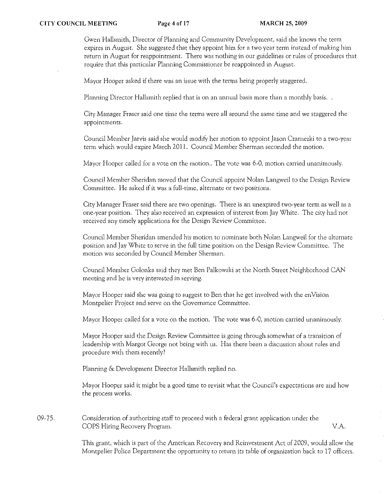Gwen Hallsmith, Director of Planning and Community Development, said she knows the term expires in August. She suggested that they appoint him for a two year term instead of making him return in August for reappointment. There was nothing in our guidelines or rules of procedures that require that this particular Planning Commissioner be reappointed in August.

Mayor Hooper asked if there was an issue with the terms being properly staggered.

Planning Director Hallsmith replied that is on an annual basis more than a monthly basis.

City Manager Fraser said one time the terms were all around the same time and we staggered the **appointments,** 

Council Member Jarvis said she would modify her motion to appoint Jason Czarnezki to a two-year term which would expire March 2011. Council Member Sherman seconded the motion.

Mayor Hooper called for a vote on the motion.. The vote was 6-0, motion carried unanimously.

Council Member Sheridan moved that the Council appoint Nolan Langweil to the Design Review Committee. He asked if it Was a full-time, alternate or two positions.

City Manager Fraser said there are two openings. There is an unexpired two-year term as well as a one-year position. They also received an expression of interest from Jay White. The city had not received any timely applications for the Design Review Committee.

Council Member Sheridan amended his motion to nominate both Nolan Langweil for the alternate pOSition and Jay White to serve in the full time position on the Design Review Committee. The motion was seconded by Council Member Sherman.

Council Member Golonka said they met Ben Palkowski at the North Street Neighborhood CAN **meeting and he is very interested in serving.** 

Mayor Hooper said she was going to suggest to Ben that he get involved with the en Vision Montpelier Project and serve on the Governance Committee.

Mayor Hooper called for a vote on the motion. The vote was 6-0, motion carried unanimously.

Mayor Hooper said the Design Review Committee is going through somewhat of a transition of leadership with Margot George not being with us. Has there been a discussion about rules and procedure with them recently?

Planning & Development Director Hallsmith replied no.

Mayor Hooper said it might be a good time to revisit what the Council's expectations are and how the process works.

09-75. Consideration of authorizing staff to proceed with a federal grant application under the COPS Hiring Recovery Program. V.A.

> This grant, which is part of the American Recovery and Reinvestment Act of 2009, would allow the Montpelier Police Department the opportunity to return its table of organization back to 17 officers.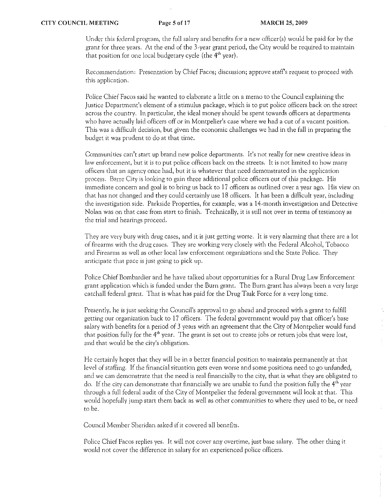Under this fedeml program, the full salary and benefits for a new officer(s) would be paid for by the grant for three years. At the end of the 3·year grant period, the City would be required to maintain that position for one local budgetary cycle (the  $4<sup>th</sup>$  year).

**Recommendation: Presentation by Chief Facosj discussion; approve staffs request to proceed with**  this application.

Police Chief Facos said he wanted to elaborate a little on a memo to the Council explaining the Justice Department's clement of a stimulus package, which is to put police officers back on the street across the country. In particular, the ideal money should be spent towards officers at departments who have actually laid officers off or in Montpelier's case where we had a cut of a vacant position. This was a difficult decision, but given the economic challenges we had in the fall in preparing the budget it was prudent to do at that time.

**Communities can't start up brand new police departments, It's not really for new creative ideas in**  law enforcement, but it is to put police officers back on the streets. It is not limited to how many officers that an agency once had, but it is whatevet that need demonstrated in the application process. Barre City is looking to gain three additional police officers out of this package. His immediate concern and goal is to bring us back to 17 officers as outlined over a year ago. His view on that has not changed and they could certainly use 18 officers. It has been a difficult year, including the investigation side. Parkside Properties, for example, was a 14·month investigation and Detective Nolan was on that case from start to finish. Technically, it is still not over in terms of testimony as the trial and hearings proceed.

**They arc very busy with drug cases, and it is just getting worse. It is very alarming that there are a lot**  of firearms with the drug cases. They are working very closely with the Federal Alcohol, Tobacco **and Firearms as well as other** local law **enforcement organizations and the State Police. They anticipate that pace is just going to pick up.** 

Police Chief Bombardier and he have talked about opportunities for a Rural Drug Law Enforcement grant application which is funded under the Burn grant. The Burn grant has always been a very large catchall federal grant. That is what has paid for the Drug Task Force for a very long time.

Presently, he is just seeking the Council's approval to go ahead and proceed with a grant to fulfill getting our organization back to 17 officers. The federal government would pay that officer's base salary with benefits for a period of 3 years with an agreement that the City of Montpelier would fund that position fully for the  $4<sup>th</sup>$  year. The grant is set out to create jobs or return jobs that were lost, and that would be the city's obligation.

He certainly hopes that they will be in a better financial position to maintain permanently at that level of staffing. If the financial situation gets even worse and some positions need to go unfunded, and we can demonstrate that the need is real financially to the city, that is what they are obligated to do. If the city can demonstrate that financially we are unable to fund the position fully the  $4<sup>th</sup>$  year through a full federal audit of the City of Montpelier the federal government will look at that. This would hopefully jump start them back as well as other communities to where they used to be, or need to be.

Council Member Sheridan asked if it covered all benefits.

Police Chief Facos replies *yes.* It will not cover any overtime, just base salary. The other thing it would not cover the difference in salary for an experienced police officers.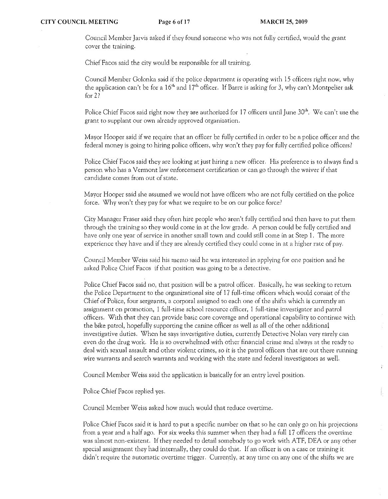Council Member Jarvis asked if they found someone who was not fully certified, would the grant cover the training.

Chief Facos said the city would be responsible for all training.

Council Member Golonka said if the police department is operating with 15 officers right now, why the application can't be for a  $16<sup>th</sup>$  and  $17<sup>th</sup>$  officer. If Barre is asking for 3, why can't Montpelier ask for 2?

Police Chief Facos said right now they are authorized for 17 officers until June 30<sup>th</sup>. We can't use the grant to supplant our own already approved organization.

Mayor Hooper said if we require that an officer be fully certified in order to be a police officer and the federal money is going to hiring police officers, why won't they pay for fully certified police officers?

Police Chicf Facos said they arc looking at just hiring a new officer. His preference is to always find a person who has a Vermont law enforcement certification or can go through the waiver if that candidate comes from out of state.

Mayor Hooper said she assumed we would not have officers who arc not fully certified on the police force. Why won't they pay for what we require to be on our police force?

City Manager Fraser said they often hire people who aren't fully certified and then have to put them through the training so they would come in at the low grade. A person could be fully certified and have only one year of service in another small town and could still corne in at Step 1. The more experience they have and if they are already certified they could come in at a higher rate of pay.

Council Member Weiss said his memo said he was interested in applying for one position and he asked Police Chief Facos if that position was going to be a detective.

Police Chief Facos said no, that position will be a patrol officer. Basically, he was seeking to return the Police Department to the organizational size of 17 full-time officers which would consist of the Chief of Police, four sergeants, a corporal assigned to each one of the shifts which is currently an assignment on promotion, 1 full-time school resource officer, 1 full-time investigator and patrol officers. With that they can provide basic core coverage and operational capability to continue with the bike patrol, hopefully supporting the canine officer as well as all of the other additional investigative duties. When he says investigative duties, currently Detective Nolan very rarely can even do the drug work. He is so overwhelmed with other financial crime and always at the ready to deal with sexual assault and other violent crimes, so it is the patrol officers that arc out there running wire warrants and search warrants and working with the state and federal investigators as well.

Council Member Weiss said the application is basically for an entry level position.

Police Chief Facos replied yes.

Council Member Weiss asked how much would that reduce overtime.

Police Chief Facos said it is hard to put a specific number on that so he can only go on his projections from a year and a half ago. For six weeks this summer when they had a full 17 officers the overtime was almost non-existent. If they needed to detail somebody to go work with ATF, DEA or any other special assignment they had internally, they could do that. If an officer is on a case or training it didn't require the automatic overtime trigger. Currently, at any time on anyone of the shifts we are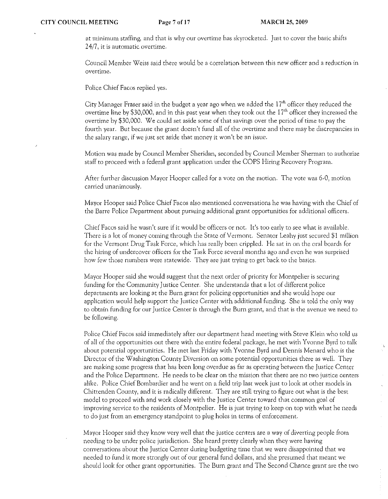at minimum staffing, and that is why our overtime has skyrocketed. Just to cover the basic shifts **2417) it is automatic overtime.** 

Council Member Weiss said there would be a correlation between this new officer and a reduction in **overtime.** 

Police Chief Facos replied yes.

City Manager Fraser said in the budget a year ago when we added the 17<sup>th</sup> officer they reduced the overtime line by \$30,000, and in this past year when they took out the 17<sup>th</sup> officer they increased the overtime by \$30,000. We could set aside some of that savings over the period of time to pay the fourth year. But because the grant doesn't fund all of the overtime and there may be discrepancies in **the salary range, if we just set aside that money it won't be an issue.** 

Motion was made by Council Member Sheridan, seconded by Council Member Shennan to authorize staff to proceed with a federal grant application under the COPS Hiring Recovery Program.

After further discussion Mayor Hooper called for a vote on the motion. The vote was 6·0, motion **carried unanimously,** 

Mayor Hooper said Police Chief Facos also mentioned conversations he was having with the Chief of the Barre Police Department about pursuing additional grant opportunities for additional officers.

Chief Facos said he wasn't sure if it would be officers or not. It's too early to sec what is available. There is a lot of money coming through the State of Vermont. Senator Leahy just secured \$1 million for the Vermont Drug Task Force, which has really been crippled. He sat in on the oral boards for the hiring of undercover officers for the Task Force several months ago and even he was surprised how few those numbers were statewide. They arc just trying to get back to the basics.

Mayor Hooper said she would suggest that the next order of priority for Montpelier is sccuring funding for the Community justice Center. She understands that a lot of different police departments are looking at the Burn grant for policing opportunities and she would hope our application would help support the justice Center with additional funding. She is told the only way to obtain funding for our justice Center is through the Burn grant, and that is the avenue we need to be following.

Police Chief Facos said immediately after our department head meeting with Steve Klein who told us of all of the opportunities out there with the entire federal package, he met with Yvonne Byrd to talk about potential opportunities. He met last Friday with Yvonne Byrd and Dennis Menard who is the Director of the Washington County Diversion on some potential opportunities there as well. They are making some progress that has been long overdue as far as operating between the justice Center **and the Police Department. He needs to be clear on the mission that there are no two justice centers**  alike. Police Chief Bombardier and he went on a field trip last week just to look at other models in Chittenden County, and it is radically different. They are still trying to figure out what is the best model to proceed with and work closely with the justice Center toward that common goal of improving service to the residents of Montpelier. He is just trying to keep on top with what he needs to do just from an emergency standpoint to plug holes in terms of enforcement.

Mayor Hooper said they know very well that the justice centers are a way of diverting people from needing to be under police jurisdiction. She heard pretty clearly when they were having conversations about the justice Center during budgeting time that we were disappointed that we needed to fund it more strongly out of our general fund dollars, and she presumed that meant we should look for other grant opportunities. The Burn grant and The Second Chance grant: arc the two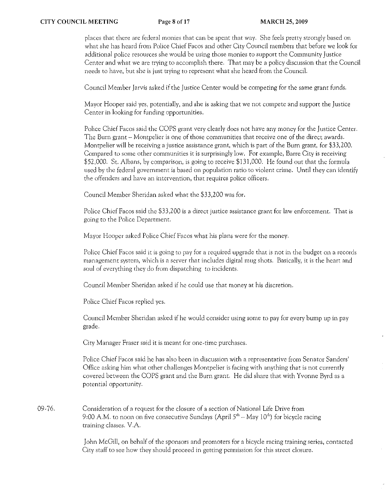places that there arc federal monies that can be spent that way. She feels pretty strongly based on what she has heard from Police Chief Facos and other City Council members that before we look for additional police resources she would be using those monies to support the Community Justice Center and what we are trying to accomplish there. That may be a policy discussion that the Council needs to have, but she is just trying to represent what she heard from the Council.

Council Member Jarvis asked if the Justice Center would be competing for the same grant funds.

Mayor Hooper said yes, potentially, and she is asking that we not compete and support the Justice Center in looking for funding opportunities.

Police Chief Facos said the COPS grant very clearly does not have any money for the Justice Center. The Burn grant - Montpelier is one of those communities that receive one of the direct awards. Montpelier will be receiving a justice assistance grant, which is part of the Burn grant, for \$33,200. **Compared to some other comrnunitics it is surprisingly low, For** example~ **Barre City is receiving**  \$52,000. St. Albans, by comparison, is going to receive \$131,000. He found out that the formula used by the federal government is based on population ratio to violent crime. Until they can identify **the offenders and have an intervention, that requires police officers.** 

Council Member Sheridan asked what the \$33,200 was for.

Police Chief Facos said the \$33,200 is a direct justice assistance grant for law enforcement. That is **going to the Police Department.** 

Mayor Hooper asked Police Chief Facos what his plans were for the money.

Police Chief Facos said it is going to pay for a required upgrade that is not in the budget on a records **management system, which is a Server that includes digital mug shots. Basically, it is the heart and**  soul of everything they do from dispatching to incidents.

Council Member Sheridan asked if he could use that money at his discretion.

Police Chief Facos replied yes.

Council Member Sheridan asked if he would consider using some to pay for every bump up in pay grade.

**City Manager Fraser said it is meant for** one~timc **purchases.** 

Police Chief Facos said he has also been in discussion with a representative from Senator Sanders' Office asking him what other challenges Montpelier is facing with anything that is not currently covered between the COPS grant and the Burn grant. He did share that with Yvonne Byrd as a potential opportunity.

09-76. Consideration of a request for the closure of a section of National Life Drive from 9:00 A.M. to noon on five consecutive Sundays (April  $5<sup>th</sup> - May 10<sup>th</sup>$ ) for bicycle racing **training classes. V.A.** 

> John McGill, on behalf of the sponsors and promoters for a bicycle racing training series, contacted City staff to *see* how they should proceed in getting permission for this street closure.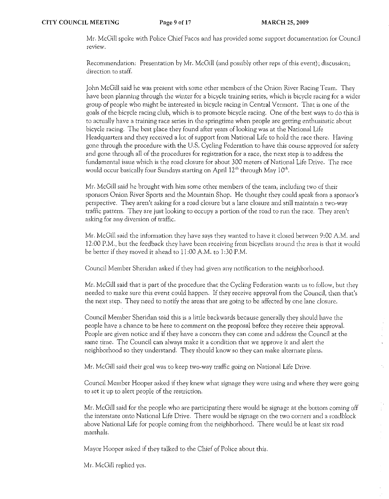Mr. McGill spoke with Police Chief Facos and has provided some support documentation for Council **review.** 

Recommendation: Presentation by Mr. McGill (and possibly other reps of this event); discussion; direction to staff.

John McGill said he was present with some other members of the Onion River Racing Team. They have been planning through the winter for a bicycle training series, which is bicycle racing for a wider group of people who might be interested in bicycle racing in Central Vermont. That is one of the goals of the bicycle racing club, which is to promote bicycle racing. One of the best ways to do this is **to actually have a training race series in the springtime when people arc getting enthusiastic about**  bicycle racing. The best place they found after years of looking was at the National Life Headquarters and they received a lot of support from National Life to hold the race there. Having gone through the procedure with the U.S. Cycling Federation to have this course approved for safety and gone through all of the procedures for registration for a race, the next step is to address the fundamental issue which is the road closure for about 300 meters of National Life Drive. The race would occur basically four Sundays starting on April 12<sup>th</sup> through May 10<sup>th</sup>.

Mr. McGill said he brought with him some other members of the team, including two of their sponsors Onion River Sports and the Mountain Shop. He thought they could speak from a sponsor's perspective. They aren't asking for a road closure but a lane closure and still maintain a two-way traffic pattern. They are just looking to occupy a portion of the road to run the race. They aren't asking for any diversion of traffic.

Mr. McGill said the information they have says they wanted to have it closed between 9:00 A.M. and 12:00 P.M., but the feedback they have been receiving from bicyclists around the area is that it would be better if they moved it ahead to 11:00 A.M. to 1:30 P.M.

Council Member Sheridan asked if they had given any notification to the neighborhood.

Mr. McGill said that is part of the procedure that the Cycling Federation wants us to follow, but they needed to make sure this event could happen. If they receive approval from the Council, then that's the next step. They need to notify the areas that arc going to be affected by one lane closure.

Council Member Sheridan said this is a little backwards because generally they should have the people have a chance to be here to comment on the proposal before they receive their approval. People are given notice and if they have a concern they can come and address the Council at the same time. The Council can always make it a condition that we approve it and alert the neighborhood so they understand. They should know so they can make alternate plans\_

Mr. McGill said their goal was to keep two-way traffic going on National Life Drive.

Council Member Hooper asked if they knew what signage they were using and where they were going to set it up to alert people of the restriction.

Mr. McGill said for the people who are participating there would be signage at the bottom coming off the interstate onto National Life Drive. There would be signage on the two corners and a roadblock above National Life for people coming from the neighborhood. There would be at least six road **marshals,** 

 $\hat{\mathcal{L}}$ 

Mayor Hooper asked if they talked to the Chief of Police about this.

Mr. McGill replied yes.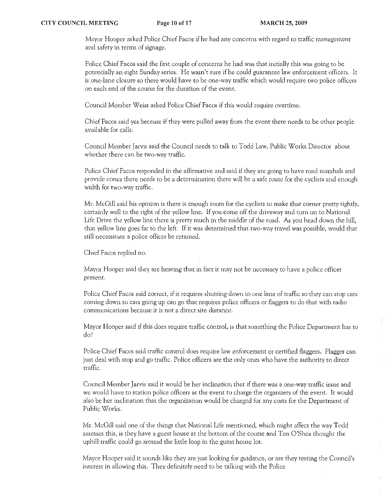Mayor Hooper asked Police Chief Facos if he had any concerns with regard to traffic management **and safety in terms of signage.** 

Police Chief Facos said the first couple of concerns he had was that initially this was going to be potentially an eight Sunday series. He wasn't sure ifhe could guarantee law enforcement officers. It is one-lane closure so there would have to be one-way traffic which would require two police officers on each end of the course for the duration of the event.

Council Member Weiss asked Police Chief Facos if this would require overtime.

Chief Facos said yes because if they were pulled away from the *event* there needs to be other people available for calls.

Council Member Jarvis said the Council needs to talk to Todd Law, Public Works Director about whether there can be two-way traffic.

Police Chief Facos responded in the affirmative and said if they are going to have road marshals and provide cones there needs to be a determination there will be a safe route for the cyclists and enough width for two-way traffic.

Mr. McGill said his opinion is there is enough room for the cyclists to make that corner pretty tightly, certainly well to the right of the yellow line. If you come off the driveway and turn on to National Life Drive the yellow line there is pretty much in the middle of the road. As you head down the hill, that yellow line goes far to the left. If it was determined that two-way travel was possible, would that still necessitate a police officer be retained.

Chief Facos replied no.

**Mayor Hooper said they are hearing that in fact it may not be necessary to have a police officer present.** 

Police Chief Facas said correct, if it requires shutting down to one lane of traffic so they can stop cars coming down so cars going up can go that requires police officers or flaggers to do that with radio **corn.munications because it is not a direct site distance,** 

Mayor Hooper said if this does require traffic control, is that something the Police Department has to do?

Police Chief Facos said traffic control does require law enforcement or certified flaggers. Flagger can just deal with stop and go traffic. Police officers arc the only ones who have the authority to direct traffic.

Council Member Jarvis said it would be her inclination that if there was a one-way traffic issue and we would have to station police officers at the event to charge the organizers of the event. It would also be her inclination that the organization would be charged for any costs for the Department of Public Works.

Mr. McGill said one of the things that National Life mentioned, which might affect the way Todd assesses this, is they *have* a guest house at the bottom of the course and Tim O'Shea thought the uphill traffic could go around the little loop in the guest house lot.

Mayor Hooper said it sounds like they are just looking for guidance, or are they testing the Council's interest in allowing this. They definitely need to be talking with the Police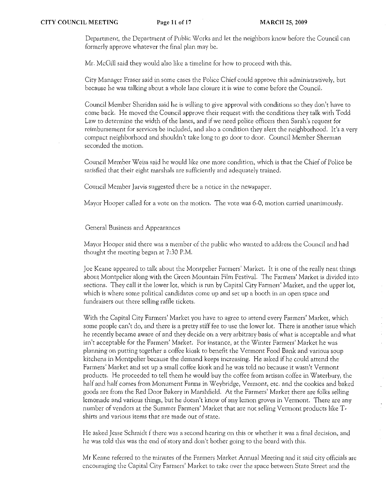Department, the Department of Public Works and let the neighbors know before the Council can formerly approve whatever the final plan may be.

Mr. McGill said they would also like a timeline for how to proceed with this.

City Manager Fraser said in some cases the Police Chief could approve this administratively, but because he was talking about a whole lane closure it is wise to come before the Council.

Council Member Sheridan said he is willing to give approval with conditions so they don't have to come back. He moved the Council approve their request with the conditions they talk with Todd Law to determine the width of the lanes, and if we need police officers then Sarah's request for reimbursement for services be included, and also a condition they alert the neighborhood. It's a very compact neighborhood and shouldn't take long to go door to door. Council Member Sherman seconded the motion.

Council Member Weiss said he would like one more condition, which is that the Chief of Police be satisfied that their eight marshals are sufficiently and adequately trained.

**Council Mernbcr Jarvis suggested there be a notice in the newspaper.** 

Mayor Hooper called for a vote on the motion. The vote was 6·0, motion carried unanimously.

General Business and Appearances

Mayor Hooper said there was a member of the public who wanted to address the Council and had thought the meeting began at 7:30 P.M.

Joe Keane appeared to talk about the Montpelier Fanners' Market. It is one of the really neat things about Montpelier along with the Green Mountain Film Festival. The Farmers' Market is divided into sections. They call it the lower lot, which is run by Capital City Farmers' Market, and the upper lot, which is where some political candidates come up and set up a booth in an open space and fundraisers out there selling raffle tickets.

With the Capital City Farmers' Market you have to agree to attend every Fanners' Market, which some people can't do, and there is a pretty stiff fee to usc the lower lot. There is another issue which he recently became aware of and they decide on a very arbitrary basis of what is acceptable and what isn't acceptable for the Farmers' Market. For instance, at the Winter Farmers' Market he was planning on putting together a coffee kiosk to benefit the Vermont Food Bank and various soup kitchens in Montpelier because the demand keeps increasing. He asked if he could attend the Fanners' Market and set up a small coffee kiosk and he was told no because it wasn't Vermont products. He proceeded to tell them he would buy the coffee from artisan coffee in Waterbury, the half and half comes from Monument Farms in Weybridge, Vermont, etc. and the cookies and baked goods are from the Red Door Bakery in Marshfield. At the Fanners' Market there are folks selling lemonade and various things, but he doesn't know of any lemon groves in Vermont. There are any number of vendors at the Summer Farmers' Market that are not selling Vermont products like T**shirts and various items that are made out of state.** 

He asked Jesse Schmidt f there was a second hearing On this or whether it was a final decision, and he was told this was the end of story and don't bother going to the board with this.

Mr Keane referred to the minutes of the Farmers Market Annual Meeting and it said city officials are **encouraging the Capital City Fanners' Market to take over the space between State Street and the**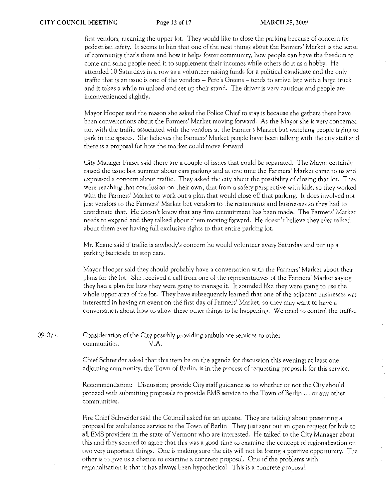first vendors, meaning the upper lot. They would like to close the parking because of concern for pedestrian safety. It seems to him that one of the neat things about the Fanners' Market is the sense of community that's there and how it helps foster community, how people can have the freedom to come and some people need it to supplement their incomes while others do it as a hobby. He attended 10 Saturdays in a row as a volunteer raising funds for a political candidate and the only traffic that is an issue is one of the vendors - Pete's Greens - tends to arrive late with a large truck and it takes a while to unload and set up their stand. The driver is very cautious and people are inconvenienced slightly.

Mayor Hooper said the reason she asked the Police Chief to stay is because she gathers there have been conversations about the Farmers' Market moving forward. As the Mayor she is very concerned not with the traffic associated with the vendors at the Farmer's Market but watching people trying to park in the spaces. She believes the Fanners' Market people have been talking with the city staff and there is a proposal for how the market could move forward.

City Manager Fraser said there arc a couple of issues that could be separated. The Mayor certainly **raised the issue last summer about cars parking and at one time the Fanners! Market carne to us and**  expressed a concern about traffic. They asked the city about the possibility of closing that lot. They were reaching that conclusion on their own, that from a safety perspective with kids, so they worked with the Farmers' Market to work out a plan that would close off that parking. It does involved not just vendors to the Farmers' Market but vendors to the restaurants and businesses so they had to coordinate that. He doesn't know that any firm commitment has been made. The Fanners' Market needs to expand and they talked about them moving forward. He doesn't believe they ever talked **about them ever having full exclusive rights to that entire parking lot.** 

**Mr. Keane said if traffic is anybody!s concern he would volunteer every Saturday and put up a**  parking barricade to stop cars.

Mayor Hooper said they should probably have a conversation with the Farmers' Market about their plans for the lot. She received a call from one of the representatives of the Fanners' Market saying they had a plan for how they were going to manage it. It sounded like they were going to use the whole upper area of the lot. They have subsequently learned that one of the adjacent businesses was interested in having an event on the first day of Fanners' Market, so they may want to have a conversation about how to allow these other things to be happening. We need to control the traffic.

09-077. Consideration of the City possibly providing ambulance services to other communities. V.A.

> Chief Schneider asked that this item be on the agenda for discussion this evening; at least one **adjoining community) the Town of Berlin) is in the process of requesting proposals for this service.**

Recommendation: Discussion; provide City staff guidance as to whether or not the City should proceed with submitting proposals to provide EMS service to the Town of Berlin ... or any other **communities.** 

Fire Chief Schneider said the Council asked for an update. They are talking about presenting a proposal for ambulance service to the Town of Berlin. They just sent out an open request for bids to all EMS providers in the state of Vermont who are interested. He talked to the City Manager about **this and they seemed to agree that this was a good time to examine the concept of regionalization on two very important things. One is making sure the city will not be losing a positive opportunity. The**  other is to give us a chance to examine a concrete proposal. One of the problems with regionalization is that it has always been hypothetical. This is a concrete proposal.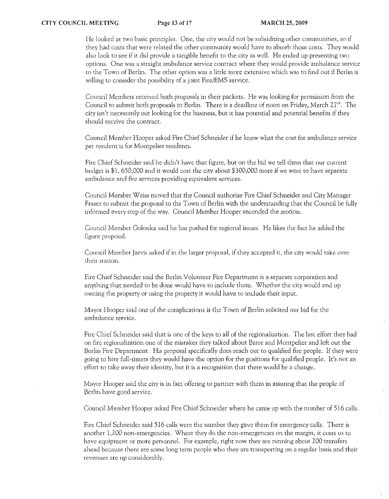He looked at two basic principles. One, the city would not be subsidizing other communities, so if they had costs that were related the other community would have to absorb those costs. They would also look to see if it did provide a tangible benefit to the city as well. He ended up presenting two options. One was a straight ambulance service contract where they would provide ambulance service to the Town of Berlin. The other option was a little more extensive which was to find out if Berlin is willing to consider the possibility of a joint Fire/EMS service.

Council Members received both proposals in their packets. He was looking for permission from the Council to submit both proposals to Berlin. There is a deadline of noon on Friday, March 27<sup>th</sup>. The city isn't necessarily out looking for the business, but it has potential and potential benefits if they should receive the contract.

Council Member Hooper asked Fire Chief Schneider if he knew what the cost for ambulance service per resident is for Montpelier residents.

Fire Chief Schneider said he didn't have that figure, but on the bid we tell them that our current budget is \$1, 650,000 and it would cost the city about \$300,000 more if we were to have separate ambulance and fire services providing equivalent services.

Council Member Weiss moved that the Council authorize Fire Chief Schneider and City Manager Fraser to submit the proposal to the Town of Berlin with the understanding that the Council be fully informed every step of the way. Council Member Hooper seconded the motion.

Council Member Golonka said he has pushed for regional issues. He likes the fact he added the figure proposal.

Council Member Jarvis asked if in the larger proposal, if they accepted it, the city would take over **their station.** 

Fire Chief Schneider said the Berlin Volunteer Fire Department is a separate corporation and anything that needed to be done would have to include them. Whether the city would end up owning the property or using the property it would have to include their input.

Mayor Hooper said one of the complications is the Town of Berlin solicited our bid for the **ambulance service.** 

Fire Chief Schneider said that is one of the keys to all of the regionalization. The last effort they had on fire regionalization one of the mistakes they talked about Barre and Montpelier and left out the Berlin Fire Department. His proposal specifically does reach out to qualified fire people. If they were going to hire full-timers they would have the option for the positions for qualified people. It's not an effort to take away their identity, but it is a recognition that there would be a change.

Mayor Hooper said the city is in fact offering to partner with them in assuring that the people of Berlin have good service.

Council Member Hooper asked Fire Chief Schneider where he came up with the number of 516 calls.

Fire Chief Schneider said 516 calls were the number they gave them for emergency calls. There is **another 1 )00** non~emergencics, **Where they do the** non~emergcncies **on the rnargin, it costs us to have equipment Or more personnel. For example, right now they are running about 200 transfers ahead because there arc some long term people who they arc transporting on a regular basis and their revenues arc up considerably.**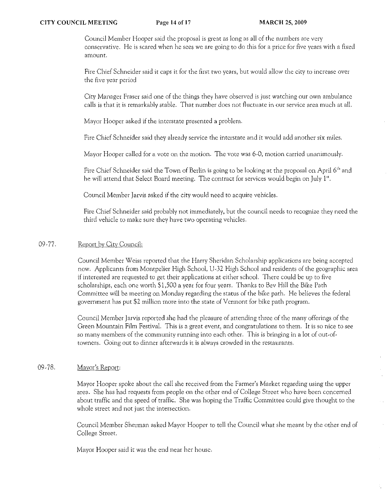Council Member Hooper said the proposal is great as long as all of the numbers are very conservative. He is scared when he sees \ve are going to do this for a price for five years with a fixed amount.

Fire Chief Schneider said it caps it for the first two years, but would allow the city to increase over the five year period

City Manager Fraser said one of the things they have observed is just watching our own ambulance calls is that it is remarkably stable. That number docs not fluctuate in our service area much at all.

Mayor Hooper asked if the interstate presented a problem.

Fire Chief Schneider said they already service the interstate and it would add another six miles.

Mayor Hooper called for a vote on the motion. The vote was 6.0, motion carried unanimously.

Fire Chief Schneider said the Town of Berlin is going to be looking at the proposal on April 6<sup>th</sup> and he will attend that Select Board meeting. The contract for services would begin on July 1".

Council Member Jarvis asked if the city would need to acquire vehicles.

Fire Chief Schneider said probably not immediately, but the council needs to recognize they need the third vehicle to make sure they have two operating vehicles.

#### 09· 77. Report by City Council:

Council Member Weiss reported that the Harry Sheridan Scholarship applications are being accepted now. Applicants from Montpelier High School, U·32 High School and residents of the geographic area if interested arc requested to get their applications at either school. There could be up to five scholarships, each one worth \$1,500 a year for four years. Thanks to Bev Hill the Bike Path Committee will be meeting on Monday regarding the status of the bike path. He believes the federal government has put \$2 million more into the state of Vermont for bike path program.

Council Member JarVis reported she had the pleasure of attending three of the many offerings of the Green Mountain Film Festival. This is a great event, and congratulations to them. It is so nice to *see*  so many members of the community running into each other. This is bringing in a lot of out-oftowners. Going out to dinner afterwards it is always crowded in the restaurants.

#### 09· 78. Mayor's Report:

Mayor Hooper spoke about the call she received from the Farmer's Market regarding using the upper area. She has had requests from people on the other end of College Street who have been concerned about traffic and the speed of traffic. She was hoping the Traffic Committee could give thought to the whole street and not just the intersection.

Council Member Shennan asked Mayor Hooper to tell the Council what she meant by the other end of College Street.

Mayor Hooper said it was the end near her house.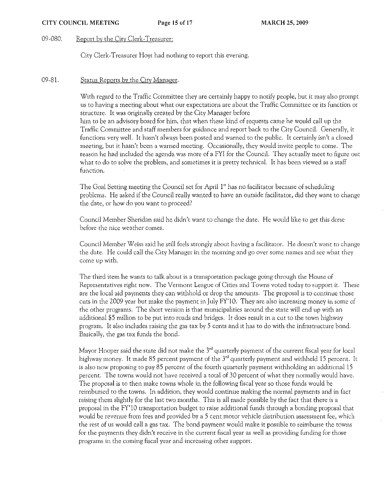### **CITY COUNCIL MEETING Page 15 of 17 MARCH 25, 2009**

#### 09-080. Report by the City Clerk-Treasurer:

City Clerk-Treasurer Hoyt had nothing to report this evening.

#### 09-81. Status Reports by the City Manager.

With regard to the Traffic Committee they are certainly happy to notify people, but it may also prompt us to having a meeting about what our expectations are about the Traffic Committee or its function or structure. It was originally created by the City Manager before him to be an advisory board for him, that when these kind of requests came he would call up the Traffic Committee and staff members for guidance and report back to the City Council. Generally, it functions very well. It hasn't always been posted and warned to the public. It certainly isn't a closed meeting, but it hasn't been a warned meeting. Occasionally, they would invite people to come. The reason he had included the agenda was more of a FYI for the Council. They actually meet to figure out what to do to solve the problem, and sometimes it is pretty technical. It has been viewed as a staff **function.** 

The Goal Setting meeting the Council set for April 1" has no facilitator because of scheduling problems. He asked if the Council really wanted to have an outside facilitator, did they want to change the date, or how do you want to proceed?

Council Member Sheridan said he didn't want to change the date. He would like to get this done **before the nice weather comes.** 

Council Member Weiss said he still feels strongly about having a facilitator. He doesn't want to change **the date. He could call the City Manager in the morning and go over some names and sec what they come up with.** 

The third item he wants to talk about is a transportation package going through the House of Representatives right now. The Vermont League of Cities and Towns voted today to support it. These are the local aid payments they can withhold or drop the amounts. The proposal is to continue those cuts in the 2009 year but make the payment in July FY'10. They are also increasing money in some of the other programs. The short version is that municipalities around the state will end up with an additional \$5 million to be put into roads and bridges. It does result in a cut to the town highway program. It also includes raising the gas tax by 5 cents and it has to do with the infrastructure bond. Basically, the gas tax funds the bond.

Mayor Hooper said the state did not make the  $3<sup>rd</sup>$  quarterly payment of the current fiscal year for local highway money. It made 85 percent payment of the 3<sup>rd</sup> quarterly payment and withheld 15 percent. It is also now proposing to pay 85 percent of the fourth quarterly payment withholding an additional 15 percent. The towns would not have received a total of 30 percent of what they normally would have. The proposal is to then make towns whole in the following fiscal year so those funds would be reimbursed to the towns. In addition, they would continue making the normal payments and in fact raising them slightly for the last two months. This is all made possible by the fact that there is a proposal in the FY'IO transportation budget to raise additional funds through a bonding proposal that would be revenue from fees and provided by a 5 cent motor vehicle distribution assessment fee, which the rest of us would call a gas tax. The bond payment would make it possible to reimburse the towns for the payments they didn't receive in the current fiscal year as well as providing funding for those **programs in the coming fiscal year and increasing other support.**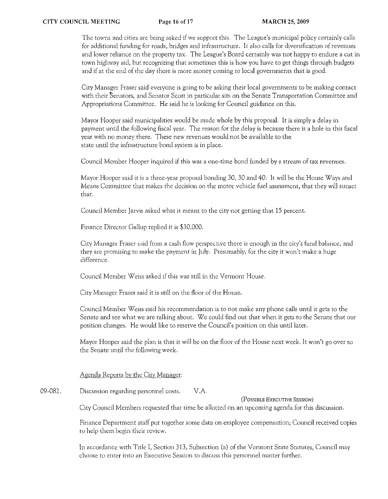The towns and cities are being asked if we support this. The League's municipal policy certainly calls for additional funding for roads, bridges and infrastructure. It also calls for diversification of revenues and lower reliance on the property tax. The League's Board certainly was not happy to endure a cut in town highway aid, but recognizing that sometimes this is how you have to get things through budgets and if at the end of the day there is more money coming to local governments that is good.

City Manager Fraser said everyone is going to be asking their local governments to be making contact with their Senators, and Senator Scott in particular sits on the Senate Transportation Committee and Appropriations Committee. He said he is looking for Council guidance on this.

Mayor Hooper said municipalities would be made whole by this proposal. It is simply a delay in payment until the following fiscal year. The reason for the delay is because there is a hole in this fiscal year with no money there. These new revenues would not be available to the **state until the infrastructure bond system is in place.** 

Council Member Hooper inquired if this was a one-time bond funded by a stream of tax revenues.

Mayor Hooper said it is a three-year proposal bonding 30, 30 and 40. It will be the House Ways and Means Committee that makes the decision on the motor vehicle fuel assessment, that they will sunset that.

Council Member Jarvis asked what it meant to the city not getting that 15 percent.

Finance Director Gallup replied it is \$30,000.

City Manager Fraser said from a cash flow perspective there is enough in the city's fund balance, and they are promising to make the payment in July. Presumably, for the city it won't make a huge difference.

Council Member Weiss asked if this was still in the Vermont House.

City Manager Fraser said it is still on the floor of the House.

Council Member Weiss said his recommendation is to not make any phone calls until it gets to the Senate and *see* what we are talking about. We could find out that when it gets to the Senate that our position changes. He would like to reserve the Council's position on this until later.

Mayor Hooper said the plan is that it will be on the floor of the House next week. It won't go over to the Senate until the following week.

Agenda Reports by the City Manager:

### 09-082. **Discussion regarding personnel costs.** V.A.

(POSSIBLE EXEClITlVE SESSION)

City Council Members requested that time be allotted on an upcoming agenda for this discussion.

**Finance Department staff put together some data on employee compensation; Council received copies**  to help them begin their review.

In accordance with Title I, Section 313, Subsection (a) of the Vermont State Statutes, Council may **choose to enter into an Executive Session to discuss this personnel matter further.**